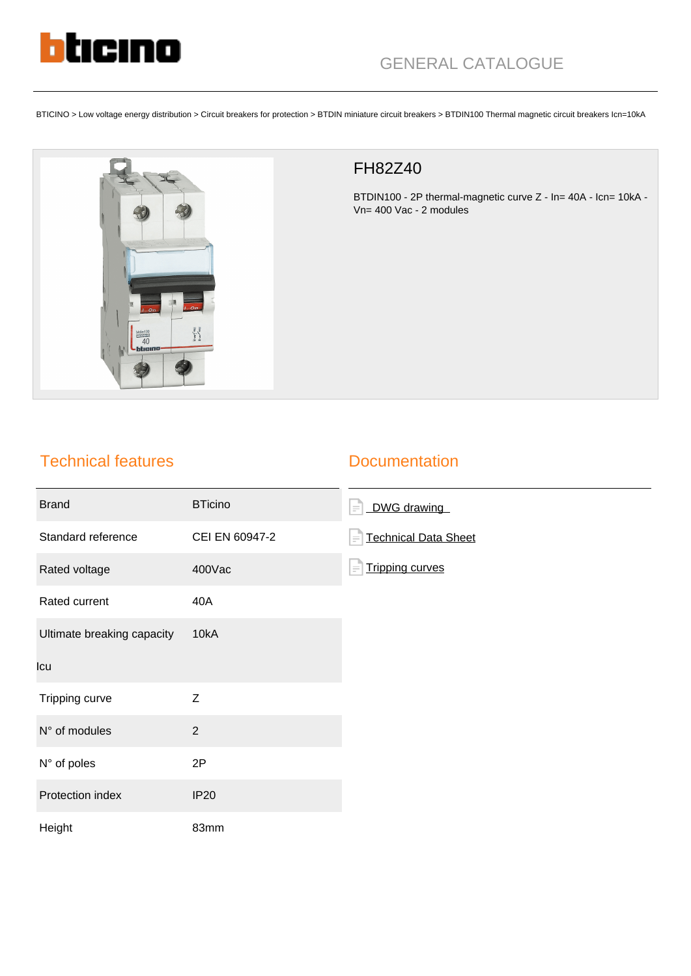

BTICINO > Low voltage energy distribution > Circuit breakers for protection > BTDIN miniature circuit breakers > BTDIN100 Thermal magnetic circuit breakers Icn=10kA



## FH82Z40

BTDIN100 - 2P thermal-magnetic curve Z - In= 40A - Icn= 10kA - Vn= 400 Vac - 2 modules

## Technical features

## **Documentation**

| <b>Brand</b>               | <b>BTicino</b> | DWG drawing<br>$\equiv$                 |
|----------------------------|----------------|-----------------------------------------|
| Standard reference         | CEI EN 60947-2 | <b>Technical Data Sheet</b><br>$\equiv$ |
| Rated voltage              | 400Vac         | <b>Tripping curves</b><br>$\equiv$      |
| Rated current              | 40A            |                                         |
| Ultimate breaking capacity | 10kA           |                                         |
| Icu                        |                |                                         |
| Tripping curve             | Z              |                                         |
| N° of modules              | $\overline{2}$ |                                         |
| N° of poles                | 2P             |                                         |
| Protection index           | <b>IP20</b>    |                                         |
| Height                     | 83mm           |                                         |